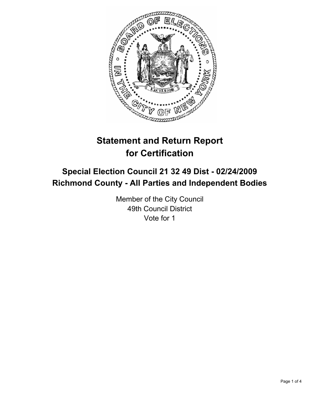

# **Statement and Return Report for Certification**

## **Special Election Council 21 32 49 Dist - 02/24/2009 Richmond County - All Parties and Independent Bodies**

Member of the City Council 49th Council District Vote for 1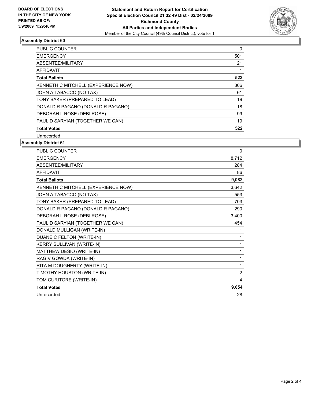

#### **Assembly District 60**

| PUBLIC COUNTER                      | 0   |
|-------------------------------------|-----|
| <b>EMERGENCY</b>                    | 501 |
| ABSENTEE/MILITARY                   | 21  |
| AFFIDAVIT                           |     |
| <b>Total Ballots</b>                | 523 |
| KENNETH C MITCHELL (EXPERIENCE NOW) | 306 |
| JOHN A TABACCO (NO TAX)             | 61  |
| TONY BAKER (PREPARED TO LEAD)       | 19  |
| DONALD R PAGANO (DONALD R PAGANO)   | 18  |
| DEBORAH L ROSE (DEBI ROSE)          | 99  |
| PAUL D SARYIAN (TOGETHER WE CAN)    | 19  |
| <b>Total Votes</b>                  | 522 |
| Unrecorded                          |     |

## **Assembly District 61**

| PUBLIC COUNTER                      | $\Omega$ |
|-------------------------------------|----------|
| <b>EMERGENCY</b>                    | 8,712    |
| ABSENTEE/MILITARY                   | 284      |
| <b>AFFIDAVIT</b>                    | 86       |
| <b>Total Ballots</b>                | 9,082    |
| KENNETH C MITCHELL (EXPERIENCE NOW) | 3,642    |
| JOHN A TABACCO (NO TAX)             | 553      |
| TONY BAKER (PREPARED TO LEAD)       | 703      |
| DONALD R PAGANO (DONALD R PAGANO)   | 290      |
| DEBORAH L ROSE (DEBI ROSE)          | 3,400    |
| PAUL D SARYIAN (TOGETHER WE CAN)    | 454      |
| DONALD MULLIGAN (WRITE-IN)          |          |
| DUANE C FELTON (WRITE-IN)           | 1        |
| KERRY SULLIVAN (WRITE-IN)           |          |
| MATTHEW DESIO (WRITE-IN)            |          |
| RAGIV GOWDA (WRITE-IN)              | 1        |
| RITA M DOUGHERTY (WRITE-IN)         | 1        |
| TIMOTHY HOUSTON (WRITE-IN)          | 2        |
| TOM CURITORE (WRITE-IN)             | 4        |
| <b>Total Votes</b>                  | 9,054    |
| Unrecorded                          | 28       |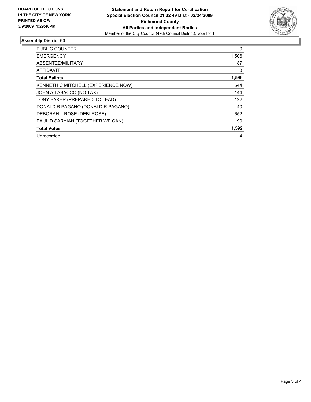

## **Assembly District 63**

| <b>PUBLIC COUNTER</b>               | 0     |
|-------------------------------------|-------|
| <b>EMERGENCY</b>                    | 1,506 |
| ABSENTEE/MILITARY                   | 87    |
| <b>AFFIDAVIT</b>                    | 3     |
| <b>Total Ballots</b>                | 1,596 |
| KENNETH C MITCHELL (EXPERIENCE NOW) | 544   |
| JOHN A TABACCO (NO TAX)             | 144   |
| TONY BAKER (PREPARED TO LEAD)       | 122   |
| DONALD R PAGANO (DONALD R PAGANO)   | 40    |
| DEBORAH L ROSE (DEBI ROSE)          | 652   |
| PAUL D SARYIAN (TOGETHER WE CAN)    | 90    |
| <b>Total Votes</b>                  | 1,592 |
| Unrecorded                          | 4     |